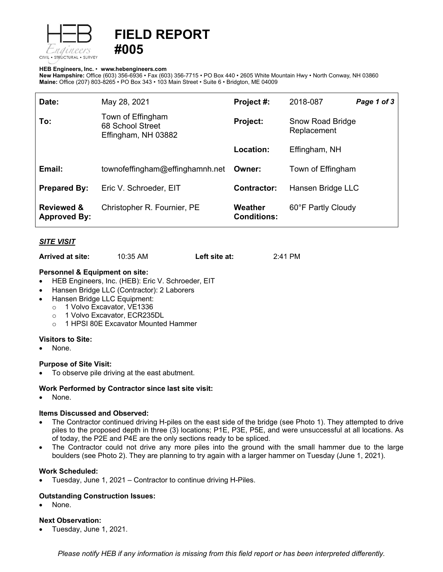

# **FIELD REPORT #005**

#### **HEB Engineers, Inc.** • **[www.hebengineer](http://www.hebengineers.com/)s.com**

**New Hampshire:** Office (603) 356-6936 • Fax (603) 356-7715 • PO Box 440 • 2605 White Mountain Hwy • North Conway, NH 03860 **Maine:** Office (207) 803-8265 • PO Box 343 • 103 Main Street • Suite 6 • Bridgton, ME 04009

| Date:                                        | May 28, 2021                                                 | Project #:                    | 2018-087                        | Page 1 of 3 |
|----------------------------------------------|--------------------------------------------------------------|-------------------------------|---------------------------------|-------------|
| To:                                          | Town of Effingham<br>68 School Street<br>Effingham, NH 03882 | Project:                      | Snow Road Bridge<br>Replacement |             |
|                                              |                                                              | Location:                     | Effingham, NH                   |             |
| Email:                                       | townofeffingham@effinghamnh.net                              | Owner:                        | Town of Effingham               |             |
| <b>Prepared By:</b>                          | Eric V. Schroeder, EIT                                       | <b>Contractor:</b>            | Hansen Bridge LLC               |             |
| <b>Reviewed &amp;</b><br><b>Approved By:</b> | Christopher R. Fournier, PE                                  | Weather<br><b>Conditions:</b> | 60°F Partly Cloudy              |             |

# *SITE VISIT*

**Arrived at site:** 10:35 AM **Left site at:** 2:41 PM

#### **Personnel & Equipment on site:**

- HEB Engineers, Inc. (HEB): Eric V. Schroeder, EIT
- Hansen Bridge LLC (Contractor): 2 Laborers
- Hansen Bridge LLC Equipment:
	- o 1 Volvo Excavator, VE1336
	-
	- o 1 Volvo Excavator, ECR235DL<br>○ 1 HPSI 80E Excavator Mounted 1 HPSI 80E Excavator Mounted Hammer

#### **Visitors to Site:**

None.

#### **Purpose of Site Visit:**

• To observe pile driving at the east abutment.

#### **Work Performed by Contractor since last site visit:**

• None.

#### **Items Discussed and Observed:**

- The Contractor continued driving H-piles on the east side of the bridge (see Photo 1). They attempted to drive piles to the proposed depth in three (3) locations; P1E, P3E, P5E, and were unsuccessful at all locations. As of today, the P2E and P4E are the only sections ready to be spliced.
- The Contractor could not drive any more piles into the ground with the small hammer due to the large boulders (see Photo 2). They are planning to try again with a larger hammer on Tuesday (June 1, 2021).

#### **Work Scheduled:**

• Tuesday, June 1, 2021 – Contractor to continue driving H-Piles.

# **Outstanding Construction Issues:**

None.

### **Next Observation:**

• Tuesday, June 1, 2021.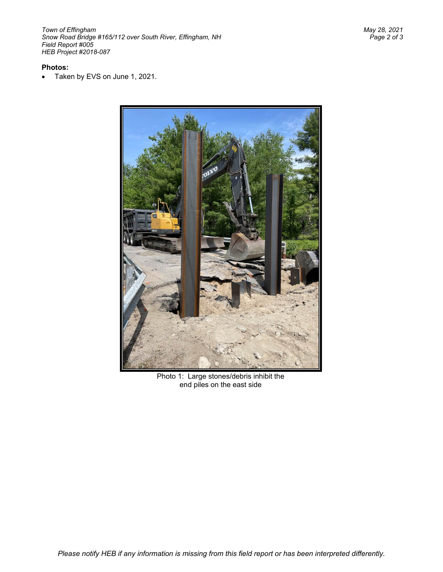# **Photos:**

• Taken by EVS on June 1, 2021.



Photo 1: Large stones/debris inhibit the end piles on the east side